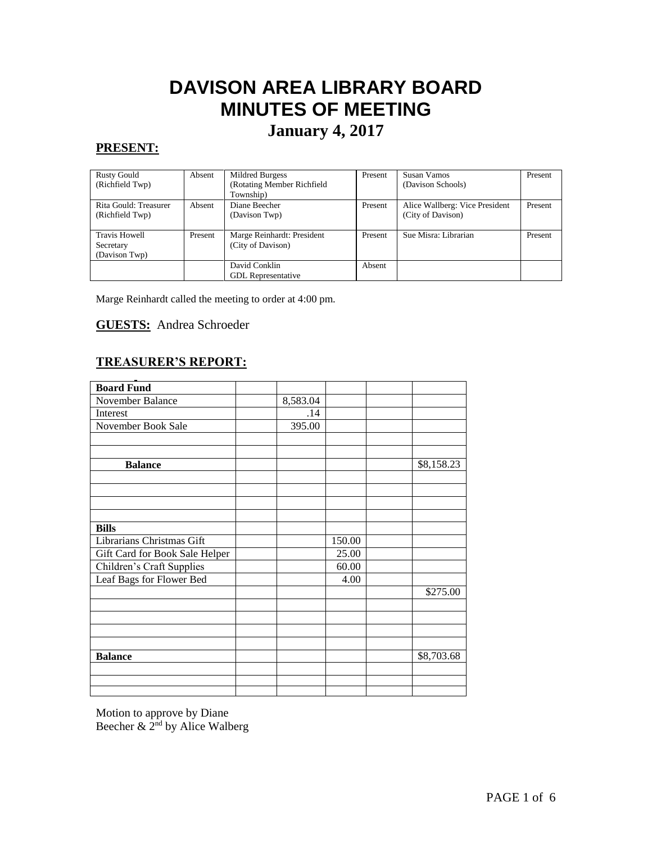# **DAVISON AREA LIBRARY BOARD MINUTES OF MEETING**

## **January 4, 2017**

#### **PRESENT:**

| <b>Rusty Gould</b><br>(Richfield Twp)              | Absent  | Mildred Burgess<br>(Rotating Member Richfield<br>Township) | Present | Susan Vamos<br>(Davison Schools)                    | Present |
|----------------------------------------------------|---------|------------------------------------------------------------|---------|-----------------------------------------------------|---------|
| Rita Gould: Treasurer<br>(Richfield Twp)           | Absent  | Diane Beecher<br>(Davison Twp)                             | Present | Alice Wallberg: Vice President<br>(City of Davison) | Present |
| <b>Travis Howell</b><br>Secretary<br>(Davison Twp) | Present | Marge Reinhardt: President<br>(City of Davison)            | Present | Sue Misra: Librarian                                | Present |
|                                                    |         | David Conklin<br><b>GDL</b> Representative                 | Absent  |                                                     |         |

Marge Reinhardt called the meeting to order at 4:00 pm.

#### **GUESTS:** Andrea Schroeder

#### **TREASURER'S REPORT:**

| <b>Board Fund</b>              |          |        |            |
|--------------------------------|----------|--------|------------|
| November Balance               | 8,583.04 |        |            |
| Interest                       | .14      |        |            |
| November Book Sale             | 395.00   |        |            |
|                                |          |        |            |
|                                |          |        |            |
| <b>Balance</b>                 |          |        | \$8,158.23 |
|                                |          |        |            |
|                                |          |        |            |
|                                |          |        |            |
|                                |          |        |            |
| <b>Bills</b>                   |          |        |            |
| Librarians Christmas Gift      |          | 150.00 |            |
| Gift Card for Book Sale Helper |          | 25.00  |            |
| Children's Craft Supplies      |          | 60.00  |            |
| Leaf Bags for Flower Bed       |          | 4.00   |            |
|                                |          |        | \$275.00   |
|                                |          |        |            |
|                                |          |        |            |
|                                |          |        |            |
|                                |          |        |            |
| <b>Balance</b>                 |          |        | \$8,703.68 |
|                                |          |        |            |
|                                |          |        |            |
|                                |          |        |            |

Motion to approve by Diane Beecher & 2<sup>nd</sup> by Alice Walberg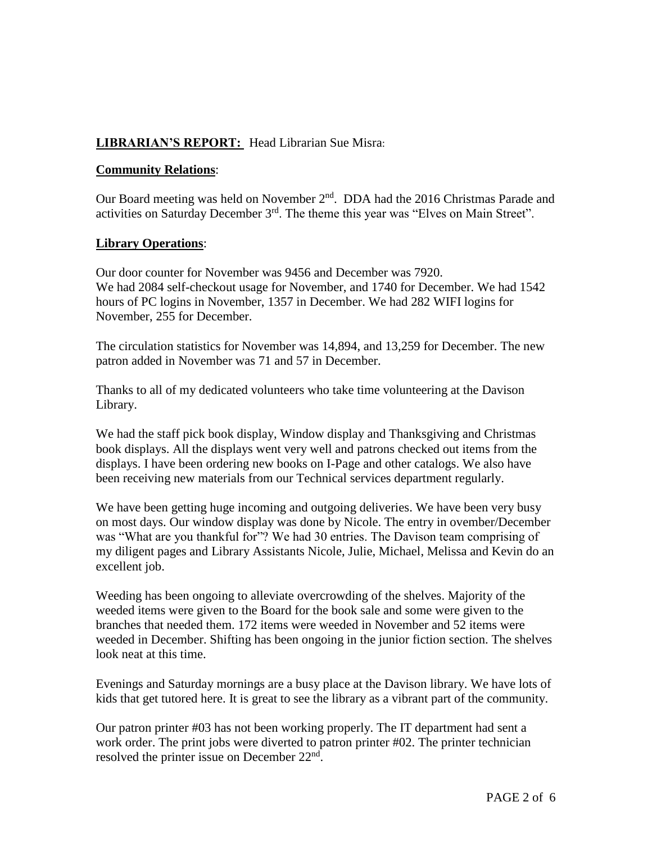#### **LIBRARIAN'S REPORT:** Head Librarian Sue Misra:

#### **Community Relations**:

Our Board meeting was held on November  $2<sup>nd</sup>$ . DDA had the 2016 Christmas Parade and activities on Saturday December 3rd. The theme this year was "Elves on Main Street".

#### **Library Operations**:

Our door counter for November was 9456 and December was 7920. We had 2084 self-checkout usage for November, and 1740 for December. We had 1542 hours of PC logins in November, 1357 in December. We had 282 WIFI logins for November, 255 for December.

The circulation statistics for November was 14,894, and 13,259 for December. The new patron added in November was 71 and 57 in December.

Thanks to all of my dedicated volunteers who take time volunteering at the Davison Library.

We had the staff pick book display, Window display and Thanksgiving and Christmas book displays. All the displays went very well and patrons checked out items from the displays. I have been ordering new books on I-Page and other catalogs. We also have been receiving new materials from our Technical services department regularly.

We have been getting huge incoming and outgoing deliveries. We have been very busy on most days. Our window display was done by Nicole. The entry in ovember/December was "What are you thankful for"? We had 30 entries. The Davison team comprising of my diligent pages and Library Assistants Nicole, Julie, Michael, Melissa and Kevin do an excellent job.

Weeding has been ongoing to alleviate overcrowding of the shelves. Majority of the weeded items were given to the Board for the book sale and some were given to the branches that needed them. 172 items were weeded in November and 52 items were weeded in December. Shifting has been ongoing in the junior fiction section. The shelves look neat at this time.

Evenings and Saturday mornings are a busy place at the Davison library. We have lots of kids that get tutored here. It is great to see the library as a vibrant part of the community.

Our patron printer #03 has not been working properly. The IT department had sent a work order. The print jobs were diverted to patron printer #02. The printer technician resolved the printer issue on December 22<sup>nd</sup>.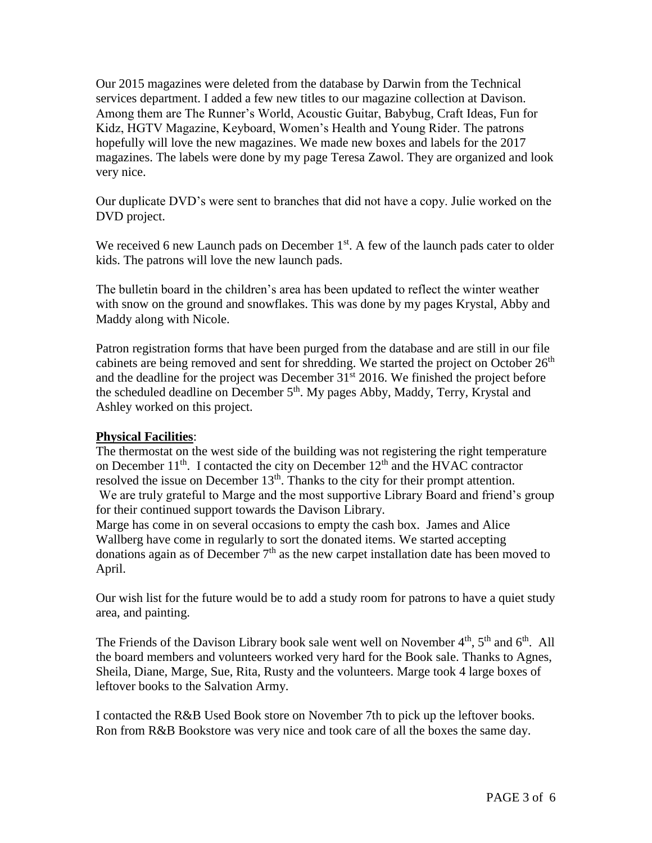Our 2015 magazines were deleted from the database by Darwin from the Technical services department. I added a few new titles to our magazine collection at Davison. Among them are The Runner's World, Acoustic Guitar, Babybug, Craft Ideas, Fun for Kidz, HGTV Magazine, Keyboard, Women's Health and Young Rider. The patrons hopefully will love the new magazines. We made new boxes and labels for the 2017 magazines. The labels were done by my page Teresa Zawol. They are organized and look very nice.

Our duplicate DVD's were sent to branches that did not have a copy. Julie worked on the DVD project.

We received 6 new Launch pads on December  $1<sup>st</sup>$ . A few of the launch pads cater to older kids. The patrons will love the new launch pads.

The bulletin board in the children's area has been updated to reflect the winter weather with snow on the ground and snowflakes. This was done by my pages Krystal, Abby and Maddy along with Nicole.

Patron registration forms that have been purged from the database and are still in our file cabinets are being removed and sent for shredding. We started the project on October  $26<sup>th</sup>$ and the deadline for the project was December  $31<sup>st</sup>$  2016. We finished the project before the scheduled deadline on December 5<sup>th</sup>. My pages Abby, Maddy, Terry, Krystal and Ashley worked on this project.

#### **Physical Facilities**:

The thermostat on the west side of the building was not registering the right temperature on December  $11<sup>th</sup>$ . I contacted the city on December  $12<sup>th</sup>$  and the HVAC contractor resolved the issue on December  $13<sup>th</sup>$ . Thanks to the city for their prompt attention. We are truly grateful to Marge and the most supportive Library Board and friend's group for their continued support towards the Davison Library.

Marge has come in on several occasions to empty the cash box. James and Alice Wallberg have come in regularly to sort the donated items. We started accepting donations again as of December  $7<sup>th</sup>$  as the new carpet installation date has been moved to April.

Our wish list for the future would be to add a study room for patrons to have a quiet study area, and painting.

The Friends of the Davison Library book sale went well on November  $4<sup>th</sup>$ ,  $5<sup>th</sup>$  and  $6<sup>th</sup>$ . All the board members and volunteers worked very hard for the Book sale. Thanks to Agnes, Sheila, Diane, Marge, Sue, Rita, Rusty and the volunteers. Marge took 4 large boxes of leftover books to the Salvation Army.

I contacted the R&B Used Book store on November 7th to pick up the leftover books. Ron from R&B Bookstore was very nice and took care of all the boxes the same day.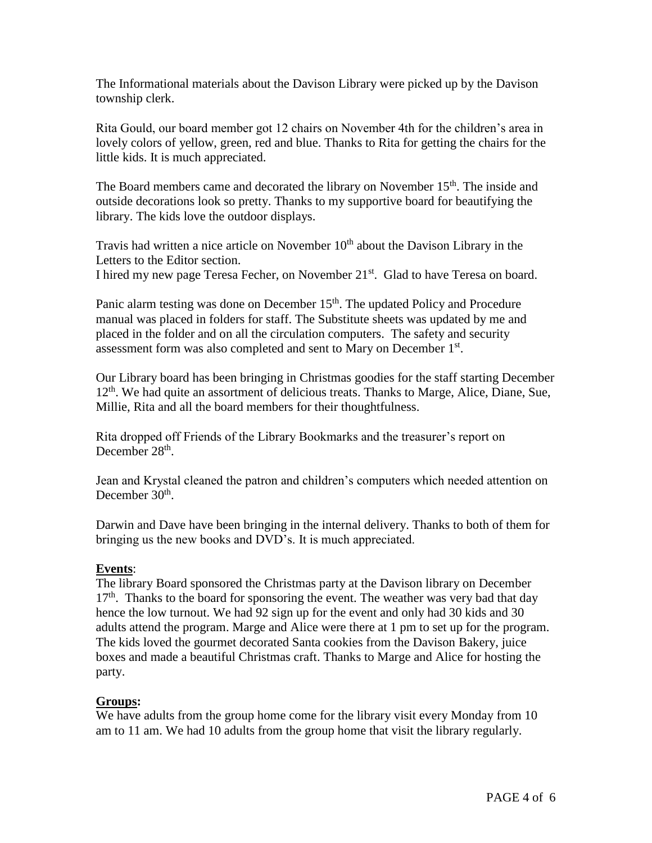The Informational materials about the Davison Library were picked up by the Davison township clerk.

Rita Gould, our board member got 12 chairs on November 4th for the children's area in lovely colors of yellow, green, red and blue. Thanks to Rita for getting the chairs for the little kids. It is much appreciated.

The Board members came and decorated the library on November  $15<sup>th</sup>$ . The inside and outside decorations look so pretty. Thanks to my supportive board for beautifying the library. The kids love the outdoor displays.

Travis had written a nice article on November  $10<sup>th</sup>$  about the Davison Library in the Letters to the Editor section. I hired my new page Teresa Fecher, on November 21<sup>st</sup>. Glad to have Teresa on board.

Panic alarm testing was done on December 15<sup>th</sup>. The updated Policy and Procedure manual was placed in folders for staff. The Substitute sheets was updated by me and placed in the folder and on all the circulation computers. The safety and security assessment form was also completed and sent to Mary on December 1st.

Our Library board has been bringing in Christmas goodies for the staff starting December 12<sup>th</sup>. We had quite an assortment of delicious treats. Thanks to Marge, Alice, Diane, Sue, Millie, Rita and all the board members for their thoughtfulness.

Rita dropped off Friends of the Library Bookmarks and the treasurer's report on December 28<sup>th</sup>.

Jean and Krystal cleaned the patron and children's computers which needed attention on December 30<sup>th</sup>.

Darwin and Dave have been bringing in the internal delivery. Thanks to both of them for bringing us the new books and DVD's. It is much appreciated.

#### **Events**:

The library Board sponsored the Christmas party at the Davison library on December  $17<sup>th</sup>$ . Thanks to the board for sponsoring the event. The weather was very bad that day hence the low turnout. We had 92 sign up for the event and only had 30 kids and 30 adults attend the program. Marge and Alice were there at 1 pm to set up for the program. The kids loved the gourmet decorated Santa cookies from the Davison Bakery, juice boxes and made a beautiful Christmas craft. Thanks to Marge and Alice for hosting the party.

#### **Groups:**

We have adults from the group home come for the library visit every Monday from 10 am to 11 am. We had 10 adults from the group home that visit the library regularly.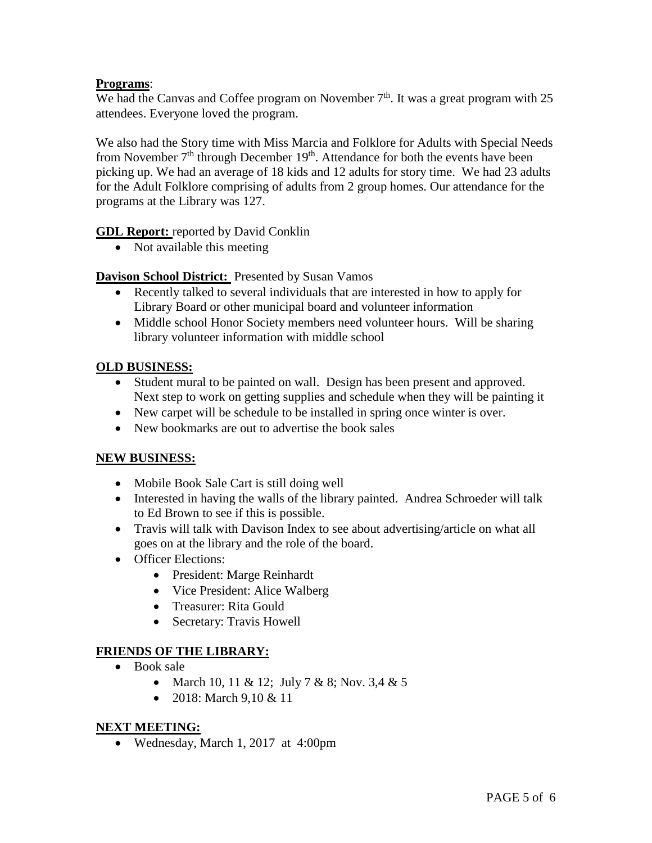#### **Programs**:

We had the Canvas and Coffee program on November  $7<sup>th</sup>$ . It was a great program with 25 attendees. Everyone loved the program.

We also had the Story time with Miss Marcia and Folklore for Adults with Special Needs from November  $7<sup>th</sup>$  through December  $19<sup>th</sup>$ . Attendance for both the events have been picking up. We had an average of 18 kids and 12 adults for story time. We had 23 adults for the Adult Folklore comprising of adults from 2 group homes. Our attendance for the programs at the Library was 127.

**GDL Report:** reported by David Conklin

• Not available this meeting

#### **Davison School District:** Presented by Susan Vamos

- Recently talked to several individuals that are interested in how to apply for Library Board or other municipal board and volunteer information
- Middle school Honor Society members need volunteer hours. Will be sharing library volunteer information with middle school

#### **OLD BUSINESS:**

- Student mural to be painted on wall. Design has been present and approved. Next step to work on getting supplies and schedule when they will be painting it
- New carpet will be schedule to be installed in spring once winter is over.
- New bookmarks are out to advertise the book sales

#### **NEW BUSINESS:**

- Mobile Book Sale Cart is still doing well
- Interested in having the walls of the library painted. Andrea Schroeder will talk to Ed Brown to see if this is possible.
- Travis will talk with Davison Index to see about advertising/article on what all goes on at the library and the role of the board.
- Officer Elections:
	- President: Marge Reinhardt
	- Vice President: Alice Walberg
	- Treasurer: Rita Gould
	- Secretary: Travis Howell

#### **FRIENDS OF THE LIBRARY:**

- Book sale
	- March 10, 11 & 12; July 7 & 8; Nov. 3,4 & 5
	- 2018: March 9,10 & 11

#### **NEXT MEETING:**

Wednesday, March 1, 2017 at 4:00pm